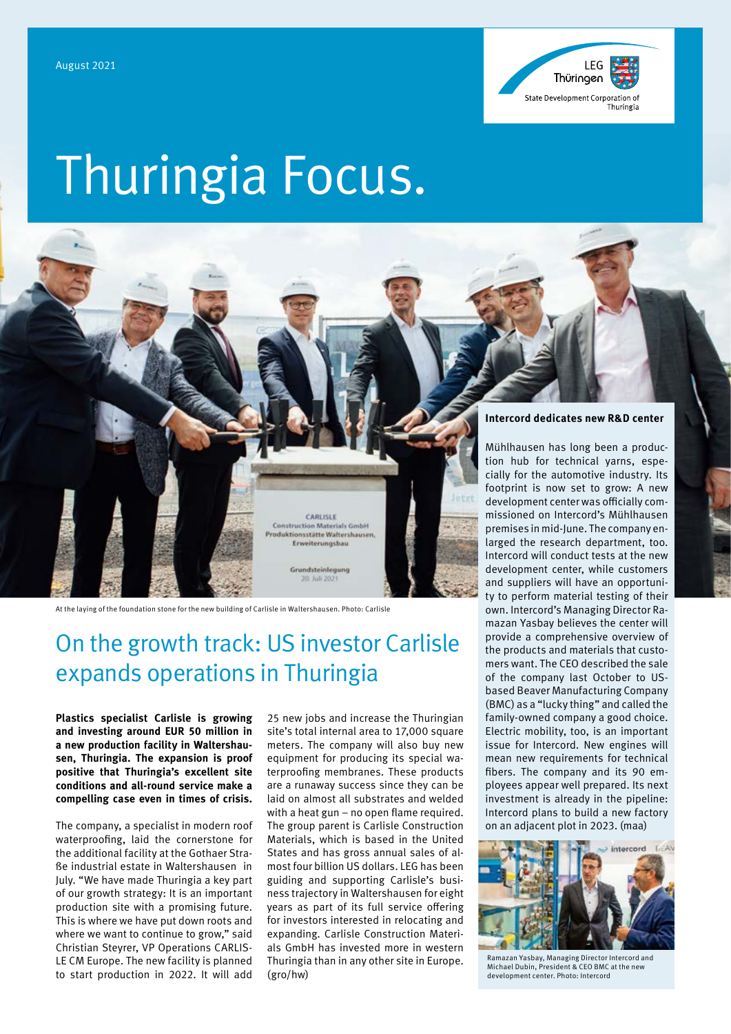

# Thuringia Focus.



At the laying of the foundation stone for the new building of Carlisle in Waltershausen. Photo: Carlisle

# On the growth track: US investor Carlisle expands operations in Thuringia

**Plastics specialist Carlisle is growing and investing around EUR 50 million in a new production facility in Waltershausen, Thuringia. The expansion is proof positive that Thuringia's excellent site conditions and all-round service make a compelling case even in times of crisis.**

The company, a specialist in modern roof waterproofing, laid the cornerstone for the additional facility at the Gothaer Straße industrial estate in Waltershausen in July. "We have made Thuringia a key part of our growth strategy: It is an important production site with a promising future. This is where we have put down roots and where we want to continue to grow," said Christian Steyrer, VP Operations CARLIS-LE CM Europe. The new facility is planned to start production in 2022. It will add

25 new jobs and increase the Thuringian site's total internal area to 17,000 square meters. The company will also buy new equipment for producing its special waterproofing membranes. These products are a runaway success since they can be laid on almost all substrates and welded with a heat gun – no open flame required. The group parent is Carlisle Construction Materials, which is based in the United States and has gross annual sales of almost four billion US dollars. LEG has been guiding and supporting Carlisle's business trajectory in Waltershausen for eight years as part of its full service offering for investors interested in relocating and expanding. Carlisle Construction Materials GmbH has invested more in western Thuringia than in any other site in Europe. (gro/hw)

#### **Intercord dedicates new R&D center**

Mühlhausen has long been a production hub for technical yarns, especially for the automotive industry. Its footprint is now set to grow: A new development center was officially commissioned on Intercord's Mühlhausen premises in mid-June. The company enlarged the research department, too. Intercord will conduct tests at the new development center, while customers and suppliers will have an opportunity to perform material testing of their own. Intercord's Managing Director Ramazan Yasbay believes the center will provide a comprehensive overview of the products and materials that customers want. The CEO described the sale of the company last October to USbased Beaver Manufacturing Company (BMC) as a "lucky thing" and called the family-owned company a good choice. Electric mobility, too, is an important issue for Intercord. New engines will mean new requirements for technical fibers. The company and its 90 employees appear well prepared. Its next investment is already in the pipeline: Intercord plans to build a new factory on an adjacent plot in 2023. (maa)



Ramazan Yasbay, Managing Director Intercord and Michael Dubin, President & CEO BMC at the new development center. Photo: Intercord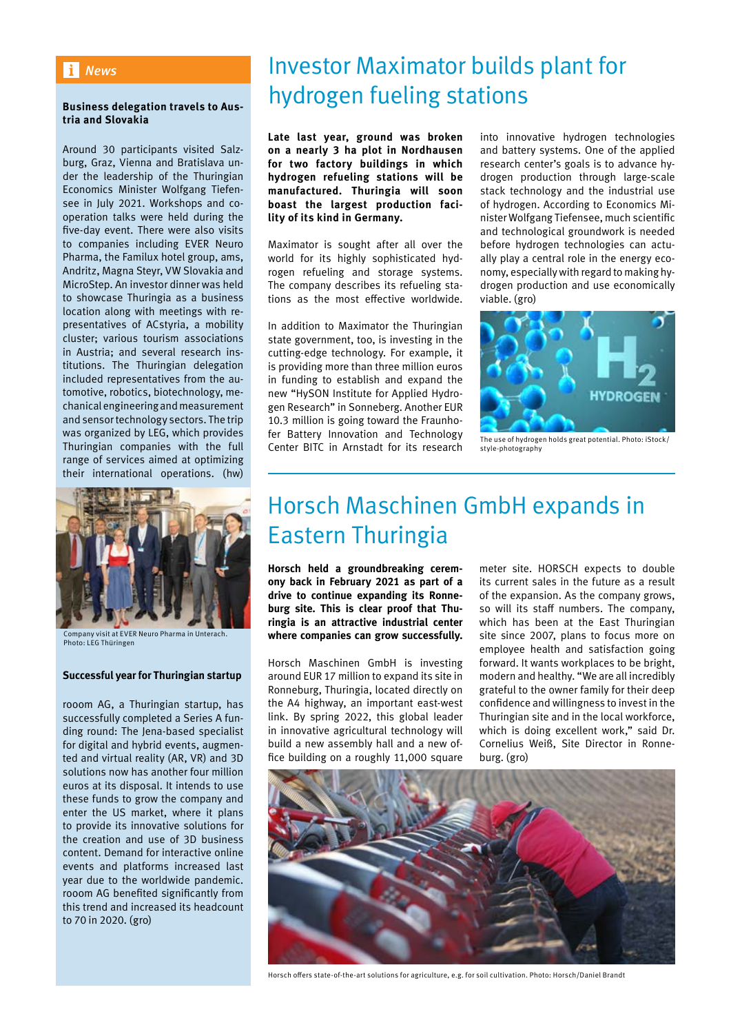### *News*

### **Business delegation travels to Austria and Slovakia**

Around 30 participants visited Salzburg, Graz, Vienna and Bratislava under the leadership of the Thuringian Economics Minister Wolfgang Tiefensee in July 2021. Workshops and cooperation talks were held during the five-day event. There were also visits to companies including EVER Neuro Pharma, the Familux hotel group, ams, Andritz, Magna Steyr, VW Slovakia and MicroStep. An investor dinner was held to showcase Thuringia as a business location along with meetings with representatives of ACstyria, a mobility cluster; various tourism associations in Austria; and several research institutions. The Thuringian delegation included representatives from the automotive, robotics, biotechnology, mechanical engineering and measurement and sensor technology sectors. The trip was organized by LEG, which provides Thuringian companies with the full range of services aimed at optimizing their international operations. (hw)



Company visit at EVER Neuro Pharma in Untera Photo: LEG Thüringen

### **Successful year for Thuringian startup**

rooom AG, a Thuringian startup, has successfully completed a Series A funding round: The Jena-based specialist for digital and hybrid events, augmented and virtual reality (AR, VR) and 3D solutions now has another four million euros at its disposal. It intends to use these funds to grow the company and enter the US market, where it plans to provide its innovative solutions for the creation and use of 3D business content. Demand for interactive online events and platforms increased last year due to the worldwide pandemic. rooom AG benefited significantly from this trend and increased its headcount to 70 in 2020. (gro)

# Investor Maximator builds plant for hydrogen fueling stations

**Late last year, ground was broken on a nearly 3 ha plot in Nordhausen for two factory buildings in which hydrogen refueling stations will be manufactured. Thuringia will soon boast the largest production facility of its kind in Germany.**

Maximator is sought after all over the world for its highly sophisticated hydrogen refueling and storage systems. The company describes its refueling stations as the most effective worldwide.

In addition to Maximator the Thuringian state government, too, is investing in the cutting-edge technology. For example, it is providing more than three million euros in funding to establish and expand the new "HySON Institute for Applied Hydrogen Research" in Sonneberg. Another EUR 10.3 million is going toward the Fraunhofer Battery Innovation and Technology Center BITC in Arnstadt for its research

into innovative hydrogen technologies and battery systems. One of the applied research center's goals is to advance hydrogen production through large-scale stack technology and the industrial use of hydrogen. According to Economics Minister Wolfgang Tiefensee, much scientific and technological groundwork is needed before hydrogen technologies can actually play a central role in the energy economy, especially with regard to making hydrogen production and use economically viable. (gro)



The use of hydrogen holds great potential. Photo: iStock/ style-photography

# Horsch Maschinen GmbH expands in Eastern Thuringia

**Horsch held a groundbreaking ceremony back in February 2021 as part of a drive to continue expanding its Ronneburg site. This is clear proof that Thuringia is an attractive industrial center where companies can grow successfully.**

Horsch Maschinen GmbH is investing around EUR 17 million to expand its site in Ronneburg, Thuringia, located directly on the A4 highway, an important east-west link. By spring 2022, this global leader in innovative agricultural technology will build a new assembly hall and a new office building on a roughly 11,000 square

meter site. HORSCH expects to double its current sales in the future as a result of the expansion. As the company grows, so will its staff numbers. The company, which has been at the East Thuringian site since 2007, plans to focus more on employee health and satisfaction going forward. It wants workplaces to be bright, modern and healthy. "We are all incredibly grateful to the owner family for their deep confidence and willingness to invest in the Thuringian site and in the local workforce, which is doing excellent work," said Dr. Cornelius Weiß, Site Director in Ronneburg. (gro)



Horsch offers state-of-the-art solutions for agriculture, e.g. for soil cultivation. Photo: Horsch/Daniel Brandt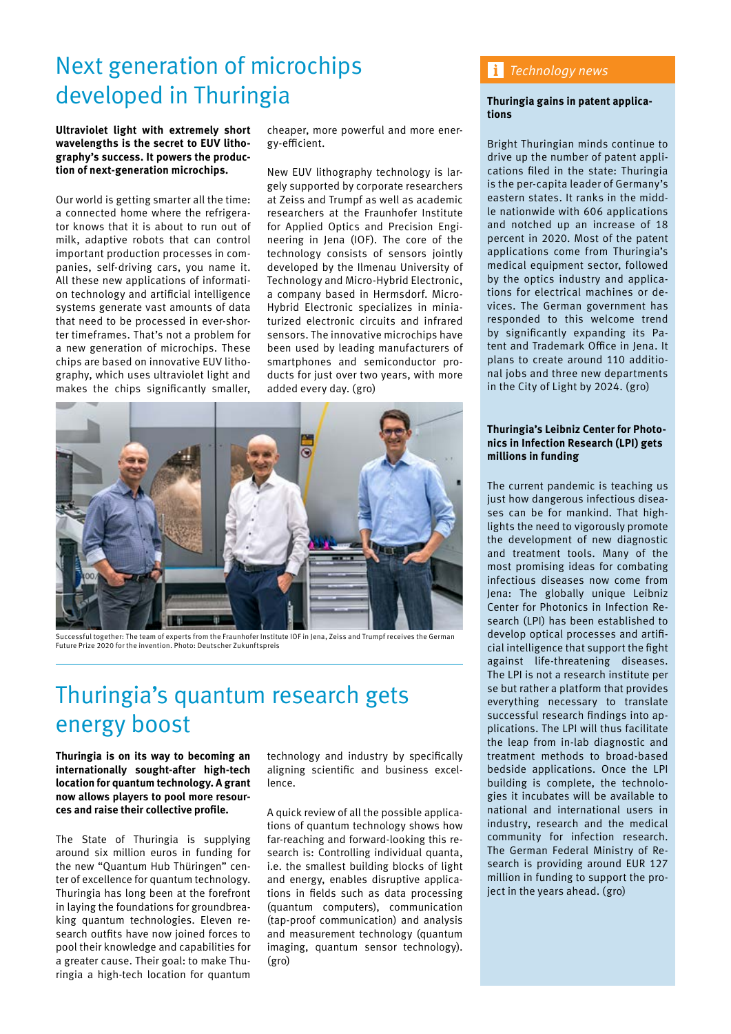# Next generation of microchips developed in Thuringia

**Ultraviolet light with extremely short wavelengths is the secret to EUV lithography's success. It powers the production of next-generation microchips.**

Our world is getting smarter all the time: a connected home where the refrigerator knows that it is about to run out of milk, adaptive robots that can control important production processes in companies, self-driving cars, you name it. All these new applications of information technology and artificial intelligence systems generate vast amounts of data that need to be processed in ever-shorter timeframes. That's not a problem for a new generation of microchips. These chips are based on innovative EUV lithography, which uses ultraviolet light and makes the chips significantly smaller,

cheaper, more powerful and more energy-efficient.

New EUV lithography technology is largely supported by corporate researchers at Zeiss and Trumpf as well as academic researchers at the Fraunhofer Institute for Applied Optics and Precision Engineering in Jena (IOF). The core of the technology consists of sensors jointly developed by the Ilmenau University of Technology and Micro-Hybrid Electronic, a company based in Hermsdorf. Micro-Hybrid Electronic specializes in miniaturized electronic circuits and infrared sensors. The innovative microchips have been used by leading manufacturers of smartphones and semiconductor products for just over two years, with more added every day. (gro)



Successful together: The team of experts from the Fraunhofer Institute IOF in Jena, Zeiss and Trumpf receives the German Future Prize 2020 for the invention. Photo: Deutscher Zukunftspreis

# Thuringia's quantum research gets energy boost

**Thuringia is on its way to becoming an internationally sought-after high-tech location for quantum technology. A grant now allows players to pool more resources and raise their collective profile.** 

The State of Thuringia is supplying around six million euros in funding for the new "Quantum Hub Thüringen" center of excellence for quantum technology. Thuringia has long been at the forefront in laying the foundations for groundbreaking quantum technologies. Eleven research outfits have now joined forces to pool their knowledge and capabilities for a greater cause. Their goal: to make Thuringia a high-tech location for quantum

technology and industry by specifically aligning scientific and business excellence.

A quick review of all the possible applications of quantum technology shows how far-reaching and forward-looking this research is: Controlling individual quanta, i.e. the smallest building blocks of light and energy, enables disruptive applications in fields such as data processing (quantum computers), communication (tap-proof communication) and analysis and measurement technology (quantum imaging, quantum sensor technology). (gro)

### *Technology news*

### **Thuringia gains in patent applications**

Bright Thuringian minds continue to drive up the number of patent applications filed in the state: Thuringia is the per-capita leader of Germany's eastern states. It ranks in the middle nationwide with 606 applications and notched up an increase of 18 percent in 2020. Most of the patent applications come from Thuringia's medical equipment sector, followed by the optics industry and applications for electrical machines or devices. The German government has responded to this welcome trend by significantly expanding its Patent and Trademark Office in Jena. It plans to create around 110 additional jobs and three new departments in the City of Light by 2024. (gro)

### **Thuringia's Leibniz Center for Photonics in Infection Research (LPI) gets millions in funding**

The current pandemic is teaching us just how dangerous infectious diseases can be for mankind. That highlights the need to vigorously promote the development of new diagnostic and treatment tools. Many of the most promising ideas for combating infectious diseases now come from Jena: The globally unique Leibniz Center for Photonics in Infection Research (LPI) has been established to develop optical processes and artificial intelligence that support the fight against life-threatening diseases. The LPI is not a research institute per se but rather a platform that provides everything necessary to translate successful research findings into applications. The LPI will thus facilitate the leap from in-lab diagnostic and treatment methods to broad-based bedside applications. Once the LPI building is complete, the technologies it incubates will be available to national and international users in industry, research and the medical community for infection research. The German Federal Ministry of Research is providing around EUR 127 million in funding to support the project in the years ahead. (gro)